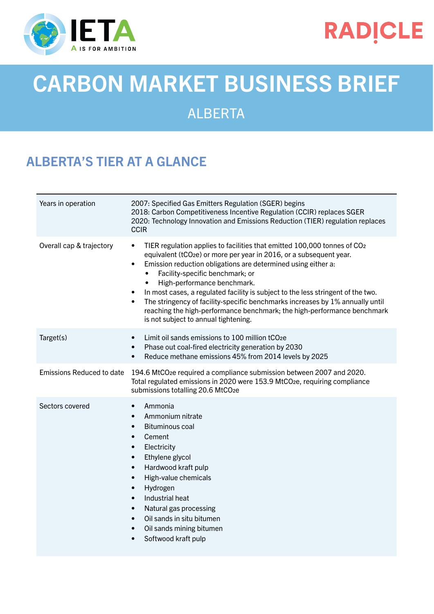

## **RADICLE**

# CARBON MARKET BUSINESS BRIEF

#### ALBERTA

### ALBERTA'S TIER AT A GLANCE

| Years in operation               | 2007: Specified Gas Emitters Regulation (SGER) begins<br>2018: Carbon Competitiveness Incentive Regulation (CCIR) replaces SGER<br>2020: Technology Innovation and Emissions Reduction (TIER) regulation replaces<br><b>CCIR</b>                                                                                                                                                                                                                                                                                                                                                                                                                       |
|----------------------------------|--------------------------------------------------------------------------------------------------------------------------------------------------------------------------------------------------------------------------------------------------------------------------------------------------------------------------------------------------------------------------------------------------------------------------------------------------------------------------------------------------------------------------------------------------------------------------------------------------------------------------------------------------------|
| Overall cap & trajectory         | TIER regulation applies to facilities that emitted 100,000 tonnes of CO <sub>2</sub><br>$\bullet$<br>equivalent (tCO <sub>2</sub> e) or more per year in 2016, or a subsequent year.<br>Emission reduction obligations are determined using either a:<br>$\bullet$<br>Facility-specific benchmark; or<br>High-performance benchmark.<br>In most cases, a regulated facility is subject to the less stringent of the two.<br>$\bullet$<br>The stringency of facility-specific benchmarks increases by 1% annually until<br>$\bullet$<br>reaching the high-performance benchmark; the high-performance benchmark<br>is not subject to annual tightening. |
| Target(s)                        | Limit oil sands emissions to 100 million tCO <sub>2</sub> e<br>$\bullet$<br>Phase out coal-fired electricity generation by 2030<br>$\bullet$<br>Reduce methane emissions 45% from 2014 levels by 2025<br>$\bullet$                                                                                                                                                                                                                                                                                                                                                                                                                                     |
| <b>Emissions Reduced to date</b> | 194.6 MtCO <sub>2</sub> e required a compliance submission between 2007 and 2020.<br>Total regulated emissions in 2020 were 153.9 MtCO <sub>2</sub> e, requiring compliance<br>submissions totalling 20.6 MtCO2e                                                                                                                                                                                                                                                                                                                                                                                                                                       |
| Sectors covered                  | Ammonia<br>$\bullet$<br>Ammonium nitrate<br>$\bullet$<br><b>Bituminous coal</b><br>$\bullet$<br>Cement<br>$\bullet$<br>Electricity<br>$\bullet$<br>Ethylene glycol<br>$\bullet$<br>Hardwood kraft pulp<br>$\bullet$<br>High-value chemicals<br>$\bullet$<br>Hydrogen<br>$\bullet$<br>Industrial heat<br>$\bullet$<br>Natural gas processing<br>$\bullet$<br>Oil sands in situ bitumen<br>$\bullet$<br>Oil sands mining bitumen<br>$\bullet$<br>Softwood kraft pulp<br>$\bullet$                                                                                                                                                                        |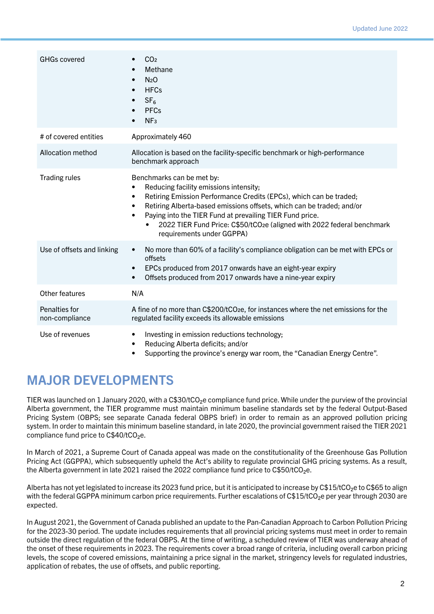| <b>GHGs covered</b>             | CO <sub>2</sub><br>Methane<br>$\bullet$<br>N <sub>2</sub> O<br>$\bullet$<br><b>HFCs</b><br>$\bullet$<br>SF <sub>6</sub><br>$\bullet$<br><b>PFCs</b><br>NF <sub>3</sub><br>$\bullet$                                                                                                                                                                                                                                                       |
|---------------------------------|-------------------------------------------------------------------------------------------------------------------------------------------------------------------------------------------------------------------------------------------------------------------------------------------------------------------------------------------------------------------------------------------------------------------------------------------|
| # of covered entities           | Approximately 460                                                                                                                                                                                                                                                                                                                                                                                                                         |
| Allocation method               | Allocation is based on the facility-specific benchmark or high-performance<br>benchmark approach                                                                                                                                                                                                                                                                                                                                          |
| <b>Trading rules</b>            | Benchmarks can be met by:<br>Reducing facility emissions intensity;<br>$\bullet$<br>Retiring Emission Performance Credits (EPCs), which can be traded;<br>$\bullet$<br>Retiring Alberta-based emissions offsets, which can be traded; and/or<br>$\bullet$<br>Paying into the TIER Fund at prevailing TIER Fund price.<br>$\bullet$<br>2022 TIER Fund Price: C\$50/tCO2e (aligned with 2022 federal benchmark<br>requirements under GGPPA) |
| Use of offsets and linking      | No more than 60% of a facility's compliance obligation can be met with EPCs or<br>$\bullet$<br>offsets<br>EPCs produced from 2017 onwards have an eight-year expiry<br>$\bullet$<br>Offsets produced from 2017 onwards have a nine-year expiry<br>$\bullet$                                                                                                                                                                               |
| Other features                  | N/A                                                                                                                                                                                                                                                                                                                                                                                                                                       |
| Penalties for<br>non-compliance | A fine of no more than C\$200/tCO <sub>2</sub> e, for instances where the net emissions for the<br>regulated facility exceeds its allowable emissions                                                                                                                                                                                                                                                                                     |
| Use of revenues                 | Investing in emission reductions technology;<br>$\bullet$<br>Reducing Alberta deficits; and/or<br>$\bullet$<br>Supporting the province's energy war room, the "Canadian Energy Centre".<br>$\bullet$                                                                                                                                                                                                                                      |

#### MAJOR DEVELOPMENTS

TIER was launched on 1 January 2020, with a C\$30/tCO<sub>2</sub>e compliance fund price. While under the purview of the provincial Alberta government, the TIER programme must maintain minimum baseline standards set by the federal Output-Based Pricing System (OBPS; see separate Canada federal OBPS brief) in order to remain as an approved pollution pricing system. In order to maintain this minimum baseline standard, in late 2020, the provincial government raised the TIER 2021 compliance fund price to C\$40/tCO<sub>2</sub>e.

In March of 2021, a Supreme Court of Canada appeal was made on the constitutionality of the Greenhouse Gas Pollution Pricing Act (GGPPA), which subsequently upheld the Act's ability to regulate provincial GHG pricing systems. As a result, the Alberta government in late 2021 raised the 2022 compliance fund price to C\$50/tCO<sub>2</sub>e.

Alberta has not yet legislated to increase its 2023 fund price, but it is anticipated to increase by C\$15/tCO₂e to C\$65 to align with the federal GGPPA minimum carbon price requirements. Further escalations of C\$15/tCO<sub>2</sub>e per year through 2030 are expected.

In August 2021, the Government of Canada published an update to the Pan-Canadian Approach to Carbon Pollution Pricing for the 2023-30 period. The update includes requirements that all provincial pricing systems must meet in order to remain outside the direct regulation of the federal OBPS. At the time of writing, a scheduled review of TIER was underway ahead of the onset of these requirements in 2023. The requirements cover a broad range of criteria, including overall carbon pricing levels, the scope of covered emissions, maintaining a price signal in the market, stringency levels for regulated industries, application of rebates, the use of offsets, and public reporting.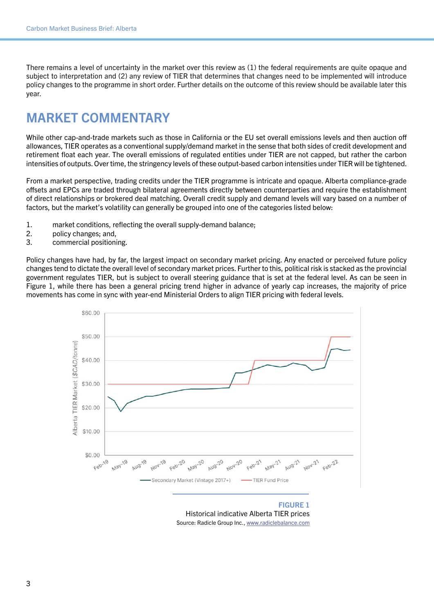There remains a level of uncertainty in the market over this review as (1) the federal requirements are quite opaque and subject to interpretation and (2) any review of TIER that determines that changes need to be implemented will introduce policy changes to the programme in short order. Further details on the outcome of this review should be available later this year.

#### MARKET COMMENTARY

While other cap-and-trade markets such as those in California or the EU set overall emissions levels and then auction off allowances, TIER operates as a conventional supply/demand market in the sense that both sides of credit development and retirement float each year. The overall emissions of regulated entities under TIER are not capped, but rather the carbon intensities of outputs. Over time, the stringency levels of these output-based carbon intensities under TIER will be tightened.

From a market perspective, trading credits under the TIER programme is intricate and opaque. Alberta compliance-grade offsets and EPCs are traded through bilateral agreements directly between counterparties and require the establishment of direct relationships or brokered deal matching. Overall credit supply and demand levels will vary based on a number of factors, but the market's volatility can generally be grouped into one of the categories listed below:

- 1. market conditions, reflecting the overall supply-demand balance;
- 2. policy changes; and,
- 3. commercial positioning.

Policy changes have had, by far, the largest impact on secondary market pricing. Any enacted or perceived future policy changes tend to dictate the overall level of secondary market prices. Further to this, political risk is stacked as the provincial government regulates TIER, but is subject to overall steering guidance that is set at the federal level. As can be seen in Figure 1, while there has been a general pricing trend higher in advance of yearly cap increases, the majority of price movements has come in sync with year-end Ministerial Orders to align TIER pricing with federal levels.



FIGURE 1 Historical indicative Alberta TIER prices Source: Radicle Group Inc., [www.radiclebalance.com](http://www.radiclebalance.com)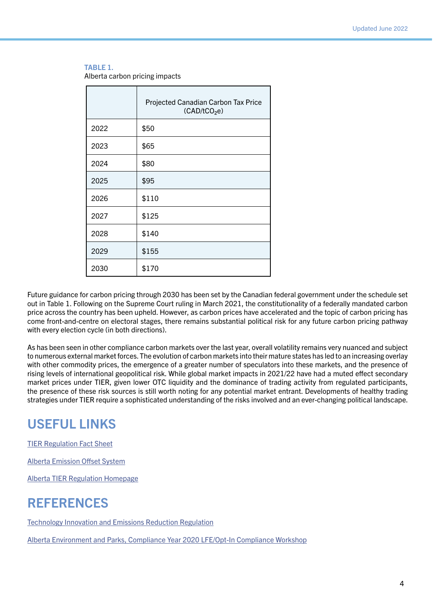#### TABLE 1.

Alberta carbon pricing impacts

|      | Projected Canadian Carbon Tax Price<br>(CAD/tCO <sub>2</sub> e) |
|------|-----------------------------------------------------------------|
| 2022 | \$50                                                            |
| 2023 | \$65                                                            |
| 2024 | \$80                                                            |
| 2025 | \$95                                                            |
| 2026 | \$110                                                           |
| 2027 | \$125                                                           |
| 2028 | \$140                                                           |
| 2029 | \$155                                                           |
| 2030 | \$170                                                           |

Future guidance for carbon pricing through 2030 has been set by the Canadian federal government under the schedule set out in Table 1. Following on the Supreme Court ruling in March 2021, the constitutionality of a federally mandated carbon price across the country has been upheld. However, as carbon prices have accelerated and the topic of carbon pricing has come front-and-centre on electoral stages, there remains substantial political risk for any future carbon pricing pathway with every election cycle (in both directions).

As has been seen in other compliance carbon markets over the last year, overall volatility remains very nuanced and subject to numerous external market forces. The evolution of carbon markets into their mature states has led to an increasing overlay with other commodity prices, the emergence of a greater number of speculators into these markets, and the presence of rising levels of international geopolitical risk. While global market impacts in 2021/22 have had a muted effect secondary market prices under TIER, given lower OTC liquidity and the dominance of trading activity from regulated participants, the presence of these risk sources is still worth noting for any potential market entrant. Developments of healthy trading strategies under TIER require a sophisticated understanding of the risks involved and an ever-changing political landscape.

#### USEFUL LINKS

[TIER Regulation Fact Sheet](http://www.alberta.ca/assets/documents/ep-fact-sheet-tier-regulation.pdf)

[Alberta Emission Offset System](https://d.docs.live.net/91f83e726bcfdc9d/Documents/koo work/freelance/2021/IETA 2021/Business Briefs/drafts/www.alberta.ca/alberta-emission-offset-system.aspx#toc-4)

[Alberta TIER Regulation Homepage](http://www.alberta.ca/technology-innovation-and-emissions-reduction-regulation.aspx)

#### REFERENCES

[Technology Innovation and Emissions Reduction Regulation](http://www.qp.alberta.ca/documents/Regs/2019_133.pdf)

[Alberta Environment and Parks, Compliance Year 2020 LFE/Opt-In Compliance Workshop](https://www.alberta.ca/assets/documents/aep-tier-lfe-compliance-workshop-presentation.pdf)